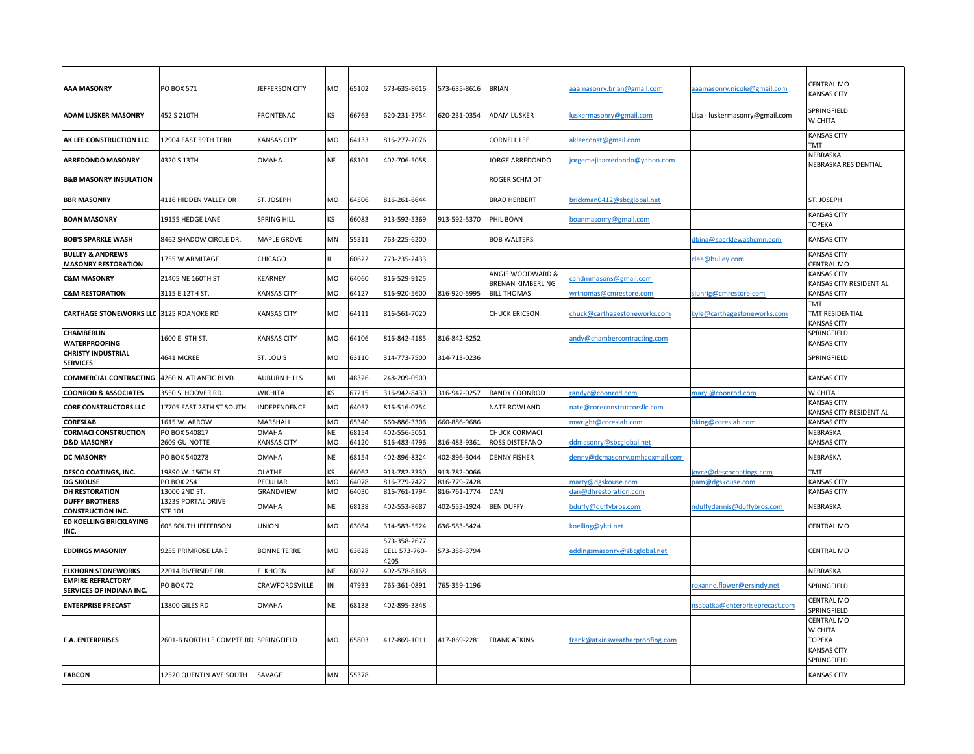| AAA MASONRY                                               | PO BOX 571                            | JEFFERSON CITY      | MO        | 65102 | 573-635-8616                          | 573-635-8616 | <b>BRIAN</b>                                 | aamasonry.brian@gmail.com       | aaamasonry.nicole@gmail.com    | CENTRAL MO<br><b>KANSAS CITY</b>                                                   |
|-----------------------------------------------------------|---------------------------------------|---------------------|-----------|-------|---------------------------------------|--------------|----------------------------------------------|---------------------------------|--------------------------------|------------------------------------------------------------------------------------|
| ADAM LUSKER MASONRY                                       | 452 S 210TH                           | <b>FRONTENAC</b>    | <b>KS</b> | 66763 | 620-231-3754                          | 620-231-0354 | <b>ADAM LUSKER</b>                           | uskermasonry@gmail.com          | Lisa - luskermasonry@gmail.com | SPRINGFIELD<br><b>WICHITA</b>                                                      |
| AK LEE CONSTRUCTION LLC                                   | 12904 EAST 59TH TERR                  | <b>KANSAS CITY</b>  | <b>MO</b> | 64133 | 816-277-2076                          |              | CORNELL LEE                                  | akleeconst@gmail.com            |                                | <b>KANSAS CITY</b><br>TMT                                                          |
| <b>ARREDONDO MASONRY</b>                                  | 4320 S 13TH                           | <b>OMAHA</b>        | NE        | 68101 | 402-706-5058                          |              | JORGE ARREDONDO                              | orgemejiaarredondo@yahoo.com    |                                | NEBRASKA<br>NEBRASKA RESIDENTIAL                                                   |
| <b>B&amp;B MASONRY INSULATION</b>                         |                                       |                     |           |       |                                       |              | ROGER SCHMIDT                                |                                 |                                |                                                                                    |
| <b>BBR MASONRY</b>                                        | 4116 HIDDEN VALLEY DR                 | ST. JOSEPH          | <b>MO</b> | 64506 | 816-261-6644                          |              | <b>BRAD HERBERT</b>                          | orickman0412@sbcglobal.net      |                                | ST. JOSEPH                                                                         |
| <b>BOAN MASONRY</b>                                       | 19155 HEDGE LANE                      | <b>SPRING HILL</b>  | ΚS        | 66083 | 913-592-5369                          | 913-592-5370 | PHIL BOAN                                    | boanmasonry@gmail.com           |                                | <b>KANSAS CITY</b><br>ТОРЕКА                                                       |
| <b>BOB'S SPARKLE WASH</b>                                 | 8462 SHADOW CIRCLE DR.                | <b>MAPLE GROVE</b>  | <b>MN</b> | 55311 | 763-225-6200                          |              | <b>BOB WALTERS</b>                           |                                 | dbina@sparklewashcmn.com       | <b>KANSAS CITY</b>                                                                 |
| <b>BULLEY &amp; ANDREWS</b><br><b>MASONRY RESTORATION</b> | 1755 W ARMITAGE                       | CHICAGO             |           | 60622 | 773-235-2433                          |              |                                              |                                 | clee@bulley.com                | <b>KANSAS CITY</b><br>CENTRAL MO                                                   |
| <b>C&amp;M MASONRY</b>                                    | 21405 NE 160TH ST                     | <b>KEARNEY</b>      | MO        | 64060 | 816-529-9125                          |              | ANGIE WOODWARD &<br><b>BRENAN KIMBERLING</b> | andmmasons@gmail.com            |                                | <b>KANSAS CITY</b><br>KANSAS CITY RESIDENTIAL                                      |
| <b>C&amp;M RESTORATION</b>                                | 3115 E 12TH ST.                       | <b>KANSAS CITY</b>  | MO        | 54127 | 816-920-5600                          | 816-920-5995 | <b>BILL THOMAS</b>                           | wrthomas@cmrestore.com          | sluhrig@cmrestore.com          | <b>KANSAS CITY</b>                                                                 |
| <b>CARTHAGE STONEWORKS LLC 3125 ROANOKE RD</b>            |                                       | <b>KANSAS CITY</b>  | MO        | 64111 | 816-561-7020                          |              | CHUCK ERICSON                                | chuck@carthagestoneworks.com    | kyle@carthagestoneworks.com    | TMT<br>TMT RESIDENTIAL<br><b>KANSAS CITY</b>                                       |
| CHAMBERLIN<br><b>WATERPROOFING</b>                        | 1600 E. 9TH ST.                       | <b>KANSAS CITY</b>  | <b>MO</b> | 64106 | 816-842-4185                          | 816-842-8252 |                                              | andy@chambercontracting.com     |                                | SPRINGFIELD<br><b>KANSAS CITY</b>                                                  |
| <b>CHRISTY INDUSTRIAL</b><br><b>SERVICES</b>              | 4641 MCREE                            | <b>ST. LOUIS</b>    | MO        | 63110 | 314-773-7500                          | 314-713-0236 |                                              |                                 |                                | SPRINGFIELD                                                                        |
| <b>COMMERCIAL CONTRACTING</b>                             | 4260 N. ATLANTIC BLVD.                | <b>AUBURN HILLS</b> | MI        | 48326 | 248-209-0500                          |              |                                              |                                 |                                | <b>KANSAS CITY</b>                                                                 |
| <b>COONROD &amp; ASSOCIATES</b>                           | 3550 S. HOOVER RD.                    | <b>WICHITA</b>      | ΚS        | 57215 | 316-942-8430                          | 316-942-0257 | RANDY COONROD                                | randyc@coonrod.com              | maryj@coonrod.com              | <b>WICHITA</b>                                                                     |
| <b>CORE CONSTRUCTORS LLC</b>                              | 17705 EAST 28TH ST SOUTH              | INDEPENDENCE        | MO        | 64057 | 816-516-0754                          |              | <b>NATE ROWLAND</b>                          | nate@coreconstructorsllc.com    |                                | <b>KANSAS CITY</b><br>KANSAS CITY RESIDENTIAL                                      |
| <b>CORESLAB</b>                                           | 1615 W. ARROW                         | MARSHALL            | MO        | 65340 | 660-886-3306                          | 660-886-9686 |                                              | nwright@coreslab.com            | bking@coreslab.com             | <b>KANSAS CITY</b>                                                                 |
| <b>CORMACI CONSTRUCTION</b>                               | PO BOX 540817                         | OMAHA               | <b>NE</b> | 68154 | 402-556-5051                          |              | CHUCK CORMACI                                |                                 |                                | NEBRASKA                                                                           |
| <b>D&amp;D MASONRY</b>                                    | 2609 GUINOTTE                         | <b>KANSAS CITY</b>  | MO        | 64120 | 816-483-4796                          | 816-483-9361 | ROSS DISTEFANO                               | ddmasonry@sbcglobal.net         |                                | <b>KANSAS CITY</b>                                                                 |
| DC MASONRY                                                | PO BOX 540278                         | <b>OMAHA</b>        | <b>NE</b> | 68154 | 402-896-8324                          | 402-896-3044 | <b>DENNY FISHER</b>                          | denny@dcmasonry.omhcoxmail.com  |                                | NEBRASKA                                                                           |
| DESCO COATINGS, INC.                                      | 19890 W. 156TH ST                     | <b>OLATHE</b>       | κs        | 6062  | 913-782-3330                          | 913-782-0066 |                                              |                                 | joyce@descocoatings.com        | TMT                                                                                |
| <b>DG SKOUSE</b>                                          | <b>PO BOX 254</b>                     | PECULIAR            | MO        | 54078 | 816-779-7427                          | 816-779-7428 |                                              | marty@dgskouse.com              | oam@dgskouse.com               | <b>KANSAS CITY</b>                                                                 |
| <b>DH RESTORATION</b><br><b>DUFFY BROTHERS</b>            | 13000 2ND ST.<br>13239 PORTAL DRIVE   | GRANDVIEW           | MO        | 64030 | 816-761-1794                          | 816-761-1774 | DAN                                          | dan@dhrestoration.com           |                                | <b>KANSAS CITY</b>                                                                 |
| <b>CONSTRUCTION INC.</b>                                  | STE 101                               | OMAHA               | <b>NE</b> | 58138 | 402-553-8687                          | 402-553-1924 | <b>BEN DUFFY</b>                             | bduffy@duffybros.com            | nduffydennis@duffybros.com     | NEBRASKA                                                                           |
| ED KOELLING BRICKLAYING<br>INC.                           | 605 SOUTH JEFFERSON                   | <b>UNION</b>        | MO        | 63084 | 314-583-5524                          | 636-583-5424 |                                              | koelling@yhti.net               |                                | <b>CENTRAL MO</b>                                                                  |
| <b>EDDINGS MASONRY</b>                                    | 9255 PRIMROSE LANE                    | <b>BONNE TERRE</b>  | <b>MO</b> | 63628 | 573-358-2677<br>CELL 573-760-<br>4205 | 573-358-3794 |                                              | eddingsmasonry@sbcglobal.net    |                                | <b>CENTRAL MO</b>                                                                  |
| <b>ELKHORN STONEWORKS</b>                                 | 22014 RIVERSIDE DR                    | <b>ELKHORN</b>      | NE        | 58022 | 402-578-8168                          |              |                                              |                                 |                                | NEBRASKA                                                                           |
| <b>EMPIRE REFRACTORY</b><br>SERVICES OF INDIANA INC.      | <b>PO BOX 72</b>                      | CRAWFORDSVILLE      | IN        | 47933 | 765-361-0891                          | 765-359-1196 |                                              |                                 | roxanne.flower@ersindy.net     | SPRINGFIELD                                                                        |
| <b>ENTERPRISE PRECAST</b>                                 | 13800 GILES RD                        | <b>OMAHA</b>        | <b>NE</b> | 68138 | 402-895-3848                          |              |                                              |                                 | nsabatka@enterpriseprecast.com | CENTRAL MO<br>SPRINGFIELD                                                          |
| <b>F.A. ENTERPRISES</b>                                   | 2601-B NORTH LE COMPTE RD SPRINGFIELD |                     | <b>MO</b> | 65803 | 417-869-1011                          | 417-869-2281 | <b>FRANK ATKINS</b>                          | frank@atkinsweatherproofing.com |                                | CENTRAL MO<br><b>WICHITA</b><br><b>TOPEKA</b><br><b>KANSAS CITY</b><br>SPRINGFIELD |
| <b>FABCON</b>                                             | 12520 QUENTIN AVE SOUTH               | SAVAGE              | MN        | 55378 |                                       |              |                                              |                                 |                                | <b>KANSAS CITY</b>                                                                 |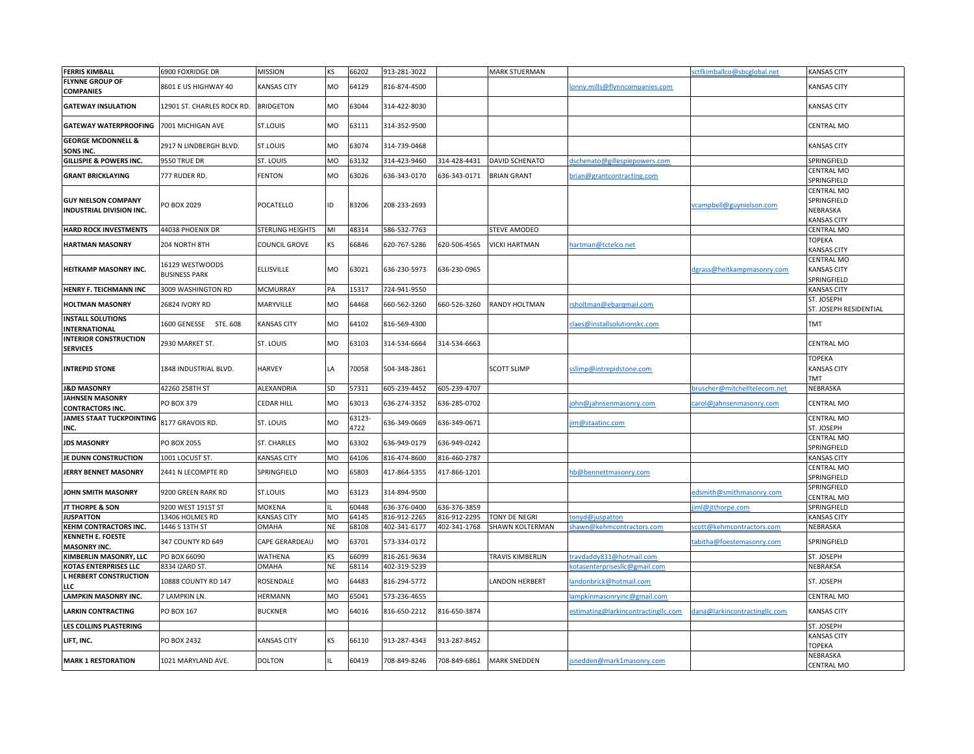| <b>FERRIS KIMBALL</b>                                                | 6900 FOXRIDGE DR                        | <b>MISSION</b>          | <b>KS</b>       | 66202          | 913-281-3022                 |              | <b>MARK STUERMAN</b>    |                                                         | sctfkimballco@sbcglobal.net                            | <b>KANSAS CITY</b>                                   |
|----------------------------------------------------------------------|-----------------------------------------|-------------------------|-----------------|----------------|------------------------------|--------------|-------------------------|---------------------------------------------------------|--------------------------------------------------------|------------------------------------------------------|
| <b>FLYNNE GROUP OF</b><br><b>COMPANIES</b>                           | 8601 E US HIGHWAY 40                    | <b>KANSAS CITY</b>      | MO              | 64129          | 816-874-4500                 |              |                         | lonny.mills@flynncompanies.com                          |                                                        | <b>KANSAS CITY</b>                                   |
| <b>GATEWAY INSULATION</b>                                            | 12901 ST. CHARLES ROCK RD.              | <b>BRIDGETON</b>        | <b>MO</b>       | 53044          | 314-422-8030                 |              |                         |                                                         |                                                        | <b>KANSAS CITY</b>                                   |
| <b>GATEWAY WATERPROOFING</b>                                         | 7001 MICHIGAN AVE                       | <b>ST.LOUIS</b>         | MO              | 63111          | 314-352-9500                 |              |                         |                                                         |                                                        | CENTRAL MO                                           |
| <b>GEORGE MCDONNELL &amp;</b><br>SONS INC.                           | 2917 N LINDBERGH BLVD.                  | <b>ST.LOUIS</b>         | MO              | 63074          | 314-739-0468                 |              |                         |                                                         |                                                        | <b>KANSAS CITY</b>                                   |
| <b>GILLISPIE &amp; POWERS INC.</b>                                   | 9550 TRUE DR                            | ST. LOUIS               | <b>MO</b>       | 63132          | 314-423-9460                 | 314-428-4431 | <b>DAVID SCHENATO</b>   | dschenato@gillespiepowers.com                           |                                                        | SPRINGFIELD                                          |
| <b>GRANT BRICKLAYING</b>                                             | 777 RUDER RD.                           | <b>FENTON</b>           | MO              | 63026          | 636-343-0170                 | 636-343-0171 | <b>BRIAN GRANT</b>      | brian@grantcontracting.com                              |                                                        | CENTRAL MO<br>SPRINGFIELD                            |
| <b>GUY NIELSON COMPANY</b><br>INDUSTRIAL DIVISION INC.               | PO BOX 2029                             | POCATELLO               | ID              | 83206          | 208-233-2693                 |              |                         |                                                         | vcampbell@guynielson.com                               | CENTRAL MO<br>SPRINGFIELD<br>NEBRASKA<br>KANSAS CITY |
| <b>HARD ROCK INVESTMENTS</b>                                         | 44038 PHOENIX DR                        | STERLING HEIGHTS        | MI              | 48314          | 586-532-7763                 |              | STEVE AMODEO            |                                                         |                                                        | CENTRAL MO                                           |
| <b>HARTMAN MASONRY</b>                                               | 204 NORTH 8TH                           | COUNCIL GROVE           | KS              | 66846          | 620-767-5286                 | 620-506-4565 | <b>VICKI HARTMAN</b>    | hartman@tctelco.net                                     |                                                        | <b>TOPEKA</b><br><b>KANSAS CITY</b>                  |
| HEITKAMP MASONRY INC.                                                | 16129 WESTWOODS<br><b>BUSINESS PARK</b> | <b>ELLISVILLE</b>       | <b>MO</b>       | 63021          | 636-230-5973                 | 636-230-0965 |                         |                                                         | dgrass@heitkampmasonry.com                             | CENTRAL MO<br><b>KANSAS CITY</b><br>SPRINGFIELD      |
| <b>HENRY F. TEICHMANN INC</b>                                        | 3009 WASHINGTON RD                      | <b>MCMURRAY</b>         | PA              | 15317          | 724-941-9550                 |              |                         |                                                         |                                                        | <b>KANSAS CITY</b>                                   |
| <b>HOLTMAN MASONRY</b>                                               | 26824 IVORY RD                          | MARYVILLE               | MO              | 64468          | 660-562-3260                 | 660-526-3260 | RANDY HOLTMAN           | rsholtman@ebarqmail.com                                 |                                                        | ST. JOSEPH<br>ST. JOSEPH RESIDENTIAL                 |
| <b>INSTALL SOLUTIONS</b><br><b>INTERNATIONAL</b>                     | 1600 GENESSE STE. 608                   | <b>KANSAS CITY</b>      | <b>MO</b>       | 64102          | 816-569-4300                 |              |                         | claes@installsolutionskc.com                            |                                                        | TMT                                                  |
| <b>INTERIOR CONSTRUCTION</b><br><b>SERVICES</b>                      | 2930 MARKET ST.                         | ST. LOUIS               | <b>MO</b>       | 63103          | 314-534-6664                 | 314-534-6663 |                         |                                                         |                                                        | CENTRAL MO                                           |
| <b>INTREPID STONE</b>                                                | 1848 INDUSTRIAL BLVD.                   | <b>HARVEY</b>           | LA              | 70058          | 504-348-2861                 |              | <b>SCOTT SLIMP</b>      | sslimp@intrepidstone.com                                |                                                        | <b>TOPEKA</b><br><b>KANSAS CITY</b><br><b>TMT</b>    |
| <b>J&amp;D MASONRY</b>                                               | 42260 258TH ST                          | ALEXANDRIA              | <b>SD</b>       | 57311          | 605-239-4452                 | 605-239-4707 |                         |                                                         | bruscher@mitchelltelecom.net                           | NEBRASKA                                             |
| <b>JAHNSEN MASONRY</b><br><b>CONTRACTORS INC.</b>                    | PO BOX 379                              | CEDAR HILL              | MO              | 63013          | 636-274-3352                 | 636-285-0702 |                         | ohn@jahnsenmasonry.com                                  | carol@jahnsenmasonry.com                               | CENTRAL MO                                           |
| <b>JAMES STAAT TUCKPOINTING</b><br>INC.                              | 8177 GRAVOIS RD.                        | ST. LOUIS               | <b>MO</b>       | 63123-<br>1722 | 636-349-0669                 | 636-349-0671 |                         | im@staatinc.com                                         |                                                        | <b>CENTRAL MO</b><br>ST. JOSEPH                      |
| <b>JDS MASONRY</b>                                                   | PO BOX 2055                             | <b>ST. CHARLES</b>      | MO              | 63302          | 636-949-0179                 | 636-949-0242 |                         |                                                         |                                                        | CENTRAL MO<br>SPRINGFIELD                            |
| JE DUNN CONSTRUCTION                                                 | 1001 LOCUST ST.                         | <b>KANSAS CITY</b>      | MO              | 64106          | 816-474-8600                 | 816-460-2787 |                         |                                                         |                                                        | <b>KANSAS CITY</b>                                   |
| <b>JERRY BENNET MASONRY</b>                                          | 2441 N LECOMPTE RD                      | SPRINGFIELD             | MO              | 55803          | 417-864-5355                 | 417-866-1201 |                         | hb@bennettmasonry.com                                   |                                                        | CENTRAL MO<br>SPRINGFIELD                            |
| <b>JOHN SMITH MASONRY</b>                                            | 9200 GREEN RARK RD                      | ST.LOUIS                | MO              | 63123          | 314-894-9500                 |              |                         |                                                         | edsmith@smithmasonry.com                               | SPRINGFIELD<br>CENTRAL MO                            |
| JT THORPE & SON                                                      | 9200 WEST 191ST ST                      | MOKENA                  |                 | 60448          | 636-376-0400                 | 636-376-3859 |                         |                                                         | iml@jtthorpe.com                                       | SPRINGFIELD                                          |
| <b>JUSPATTON</b>                                                     | 13406 HOLMES RD                         | <b>KANSAS CITY</b>      | MO              | 64145          | 816-912-2265                 | 816-912-2295 | <b>TONY DE NEGRI</b>    | onyd@juspatton                                          |                                                        | <b>KANSAS CITY</b>                                   |
| KEHM CONTRACTORS INC.<br><b>KENNETH E. FOESTE</b>                    | 1446 S 13TH ST<br>347 COUNTY RD 649     | OMAHA<br>CAPE GERARDEAU | <b>NE</b><br>MO | 68108<br>63701 | 402-341-6177<br>573-334-0172 | 402-341-1768 | SHAWN KOLTERMAN         | shawn@kehmcontractors.com                               | scott@kehmcontractors.com<br>tabitha@foestemasonry.com | NEBRASKA<br>SPRINGFIELD                              |
| <b>MASONRY INC.</b>                                                  |                                         |                         |                 |                |                              |              |                         |                                                         |                                                        |                                                      |
| KIMBERLIN MASONRY, LLC                                               | PO BOX 66090                            | WATHENA                 | <b>KS</b>       | 66099          | 816-261-9634                 |              | <b>TRAVIS KIMBERLIN</b> | ravdaddy831@hotmail.com                                 |                                                        | ST. JOSEPH                                           |
| <b>KOTAS ENTERPRISES LLC</b><br><b>L HERBERT CONSTRUCTION</b><br>LLC | 8334 IZARD ST.<br>10888 COUNTY RD 147   | OMAHA<br>ROSENDALE      | NE<br>MO        | 68114<br>64483 | 402-319-5239<br>816-294-5772 |              | LANDON HERBERT          | :otasenterprisesllc@gmail.com<br>andonbrick@hotmail.com |                                                        | NEBRAKSA<br>ST. JOSEPH                               |
| <b>LAMPKIN MASONRY INC.</b>                                          | 7 LAMPKIN LN.                           | HERMANN                 | MO              | 55041          | 573-236-4655                 |              |                         | ampkinmasonryinc@gmail.com                              |                                                        | <b>CENTRAL MO</b>                                    |
| <b>LARKIN CONTRACTING</b>                                            | PO BOX 167                              | <b>BUCKNER</b>          | <b>MO</b>       | 64016          | 816-650-2212                 | 816-650-3874 |                         | estimating@larkincontractingllc.com                     | dana@larkincontractingllc.com                          | <b>KANSAS CITY</b>                                   |
| LES COLLINS PLASTERING                                               |                                         |                         |                 |                |                              |              |                         |                                                         |                                                        | ST. JOSEPH                                           |
| LIFT, INC.                                                           | PO BOX 2432                             | <b>KANSAS CITY</b>      | <b>KS</b>       | 66110          | 913-287-4343                 | 913-287-8452 |                         |                                                         |                                                        | <b>KANSAS CITY</b><br><b>TOPEKA</b>                  |
| <b>MARK 1 RESTORATION</b>                                            | 1021 MARYLAND AVE.                      | DOLTON                  |                 | 60419          | 708-849-8246                 | 708-849-6861 | <b>MARK SNEDDEN</b>     | snedden@mark1masonry.com                                |                                                        | NEBRASKA<br><b>CENTRAL MO</b>                        |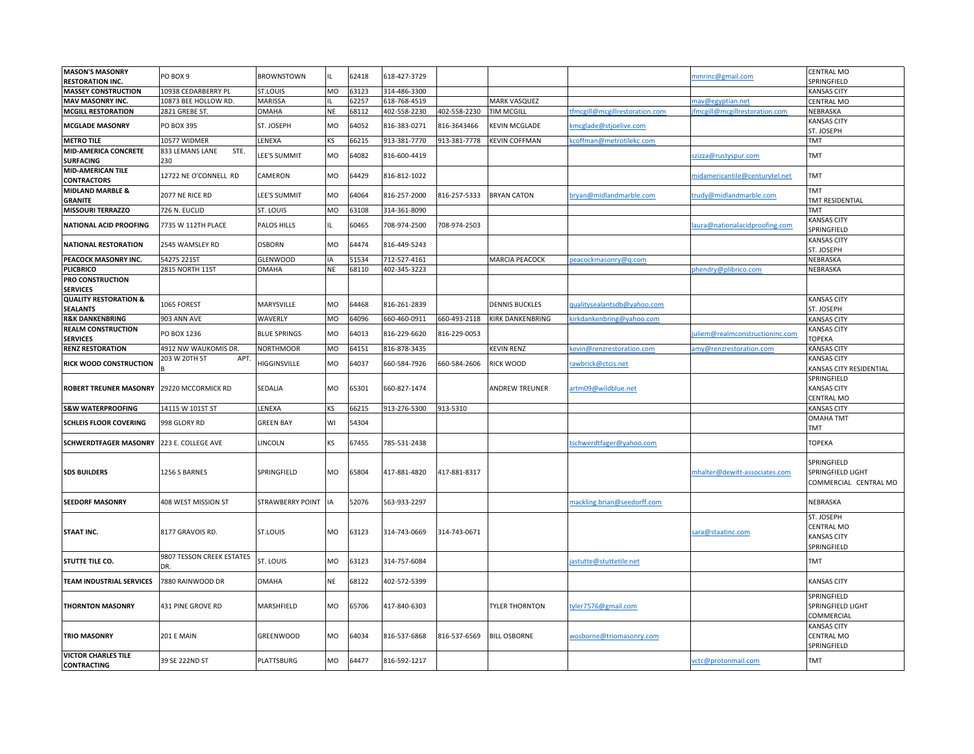| <b>MASON'S MASONRY</b><br><b>RESTORATION INC.</b>   | PO BOX 9                         | <b>BROWNSTOWN</b>       |           | 62418 | 618-427-3729 |              |                         |                                | nmrinc@gmail.com               | <b>CENTRAL MO</b><br>SPRINGFIELD                                     |
|-----------------------------------------------------|----------------------------------|-------------------------|-----------|-------|--------------|--------------|-------------------------|--------------------------------|--------------------------------|----------------------------------------------------------------------|
| <b>MASSEY CONSTRUCTION</b>                          | 10938 CEDARBERRY PL              | ST.LOUIS                | MO        | 63123 | 314-486-3300 |              |                         |                                |                                | <b>KANSAS CITY</b>                                                   |
| MAV MASONRY INC.                                    | 10873 BEE HOLLOW RD.             | <b>MARISSA</b>          |           | 62257 | 618-768-4519 |              | <b>MARK VASQUEZ</b>     |                                | nav@egyptian.net               | <b>CENTRAL MO</b>                                                    |
| <b>MCGILL RESTORATION</b>                           | 2821 GREBE ST.                   | OMAHA                   | <b>NE</b> | 68112 | 402-558-2230 | 402-558-2230 | <b>TIM MCGILL</b>       | tfmcgill@mcgillrestoration.com | fmcgill@mcgillrestoration.com  | NEBRASKA                                                             |
| <b>MCGLADE MASONRY</b>                              | PO BOX 395                       | ST. JOSEPH              | MO        | 64052 | 816-383-0271 | 816-3643466  | <b>KEVIN MCGLADE</b>    | cmcglade@stjoelive.com         |                                | <b>KANSAS CITY</b><br>ST. JOSEPH                                     |
| <b>METRO TILE</b>                                   | 10577 WIDMER                     | LENEXA                  | KS        | 66215 | 913-381-7770 | 913-381-7778 | <b>KEVIN COFFMAN</b>    | coffman@metrotilekc.com        |                                | TMT                                                                  |
| MID-AMERICA CONCRETE<br><b>SURFACING</b>            | STE.<br>833 LEMANS LANE<br>230   | <b>EE'S SUMMIT</b>      | MO        | 64082 | 816-600-4419 |              |                         |                                | zizza@rustyspur.com            | TMT                                                                  |
| MID-AMERICAN TILE<br><b>CONTRACTORS</b>             | 12722 NE O'CONNELL RD            | CAMERON                 | МO        | 64429 | 816-812-1022 |              |                         |                                | nidamericantile@centurytel.net | <b>TMT</b>                                                           |
| <b>MIDLAND MARBLE &amp;</b><br><b>GRANITE</b>       | 2077 NE RICE RD                  | LEE'S SUMMIT            | MO        | 64064 | 816-257-2000 | 816-257-5333 | <b>BRYAN CATON</b>      | bryan@midlandmarble.com        | rudy@midlandmarble.com         | TMT<br>TMT RESIDENTIAL                                               |
| <b>MISSOURI TERRAZZO</b>                            | 726 N. EUCLID                    | ST. LOUIS               | <b>MO</b> | 63108 | 314-361-8090 |              |                         |                                |                                | <b>TMT</b>                                                           |
| <b>NATIONAL ACID PROOFING</b>                       | 7735 W 112TH PLACE               | PALOS HILLS             |           | 60465 | 708-974-2500 | 708-974-2503 |                         |                                | aura@nationalacidproofing.com  | <b>KANSAS CITY</b><br>SPRINGFIELD                                    |
| <b>NATIONAL RESTORATION</b>                         | 2545 WAMSLEY RD                  | <b>OSBORN</b>           | MO        | 64474 | 816-449-5243 |              |                         |                                |                                | <b>KANSAS CITY</b><br>ST. JOSEPH                                     |
| PEACOCK MASONRY INC.                                | 54275 221ST                      | <b>GLENWOOD</b>         |           | 51534 | 712-527-4161 |              | MARCIA PEACOCK          | eacockmasonry@q.com            |                                | NEBRASKA                                                             |
| <b>PLICBRICO</b>                                    | 2815 NORTH 11ST                  | OMAHA                   | <b>NE</b> | 68110 | 402-345-3223 |              |                         |                                | hendry@plibrico.com            | NEBRASKA                                                             |
| PRO CONSTRUCTION<br><b>SERVICES</b>                 |                                  |                         |           |       |              |              |                         |                                |                                |                                                                      |
| <b>QUALITY RESTORATION &amp;</b><br><b>SEALANTS</b> | 1065 FOREST                      | MARYSVILLE              | МO        | 64468 | 816-261-2839 |              | <b>DENNIS BUCKLES</b>   | qualitysealantsdb@yahoo.com    |                                | <b>KANSAS CITY</b><br>ST. JOSEPH                                     |
| <b>R&amp;K DANKENBRING</b>                          | 903 ANN AVE                      | WAVERLY                 | MO        | 64096 | 660-460-0911 | 660-493-2118 | <b>KIRK DANKENBRING</b> | dirkdankenbring@yahoo.com      |                                | <b>KANSAS CITY</b>                                                   |
| <b>REALM CONSTRUCTION</b><br><b>SERVICES</b>        | PO BOX 1236                      | <b>BLUE SPRINGS</b>     | MO        | 64013 | 816-229-6620 | 816-229-0053 |                         |                                | uliem@realmconstructioninc.com | <b>KANSAS CITY</b><br>ГОРЕКА                                         |
| <b>RENZ RESTORATION</b>                             | 4912 NW WAUKOMIS DR.             | <b>NORTHMOOR</b>        | MO        | 64151 | 816-878-3435 |              | <b>KEVIN RENZ</b>       | evin@renzrestoration.com       | amy@renzrestoration.com        | <b>KANSAS CITY</b>                                                   |
| RICK WOOD CONSTRUCTION                              | 203 W 20TH ST<br>APT.            | HIGGINSVILLE            | MO        | 64037 | 660-584-7926 | 660-584-2606 | <b>RICK WOOD</b>        | rawbrick@ctcis.net             |                                | <b>KANSAS CITY</b><br>KANSAS CITY RESIDENTIAL                        |
| <b>ROBERT TREUNER MASONRY 29220 MCCORMICK RD</b>    |                                  | SEDALIA                 | <b>MO</b> | 65301 | 660-827-1474 |              | <b>ANDREW TREUNER</b>   | artm09@wildblue.net            |                                | SPRINGFIELD<br><b>KANSAS CITY</b><br>CENTRAL MO                      |
| <b>S&amp;W WATERPROOFING</b>                        | 14115 W 101ST ST                 | LENEXA                  | ΚS        | 66215 | 913-276-5300 | 913-5310     |                         |                                |                                | <b>KANSAS CITY</b>                                                   |
|                                                     |                                  |                         |           |       |              |              |                         |                                |                                | <b>OMAHA TMT</b>                                                     |
| <b>SCHLEIS FLOOR COVERING</b>                       | 998 GLORY RD                     | <b>GREEN BAY</b>        | WI        | 54304 |              |              |                         |                                |                                | TMT                                                                  |
| <b>SCHWERDTFAGER MASONRY</b>                        | 223 E. COLLEGE AVE               | <b>INCOLN</b>           | <b>KS</b> | 67455 | 785-531-2438 |              |                         | tschwerdtfager@yahoo.com       |                                | <b>TOPEKA</b>                                                        |
| <b>SDS BUILDERS</b>                                 | 1256 S BARNES                    | SPRINGFIELD             | MO        | 65804 | 417-881-4820 | 417-881-8317 |                         |                                | mhalter@dewitt-associates.com  | SPRINGFIELD<br>SPRINGFIELD LIGHT<br>COMMERCIAL CENTRAL MO            |
| <b>SEEDORF MASONRY</b>                              | 408 WEST MISSION ST              | <b>STRAWBERRY POINT</b> | IA        | 52076 | 563-933-2297 |              |                         | mackling.brian@seedorff.com    |                                | NEBRASKA                                                             |
| <b>STAAT INC.</b>                                   | 8177 GRAVOIS RD.                 | ST.LOUIS                | <b>MO</b> | 63123 | 314-743-0669 | 314-743-0671 |                         |                                | sara@staatinc.com              | ST. JOSEPH<br><b>CENTRAL MO</b><br><b>KANSAS CITY</b><br>SPRINGFIELD |
| STUTTE TILE CO.                                     | 9807 TESSON CREEK ESTATES<br>DR. | ST. LOUIS               | <b>MO</b> | 63123 | 314-757-6084 |              |                         | jastutte@stuttetile.net        |                                | TMT                                                                  |
| <b>TEAM INDUSTRIAL SERVICES</b>                     | 7880 RAINWOOD DR                 | OMAHA                   | <b>NE</b> | 68122 | 402-572-5399 |              |                         |                                |                                | <b>KANSAS CITY</b>                                                   |
| <b>THORNTON MASONRY</b>                             | 431 PINE GROVE RD                | MARSHFIELD              | MO        | 65706 | 417-840-6303 |              | <b>TYLER THORNTON</b>   | tyler7576@gmail.com            |                                | SPRINGFIELD<br>SPRINGFIELD LIGHT<br>COMMERCIAL<br><b>KANSAS CITY</b> |
| <b>TRIO MASONRY</b>                                 | 201 E MAIN                       | GREENWOOD               | MO        | 64034 | 816-537-6868 | 816-537-6569 | <b>BILL OSBORNE</b>     | wosborne@triomasonry.com       |                                | <b>CENTRAL MO</b><br>SPRINGFIELD                                     |
| <b>VICTOR CHARLES TILE</b><br><b>CONTRACTING</b>    | 39 SE 222ND ST                   | PLATTSBURG              | МO        | 64477 | 816-592-1217 |              |                         |                                | vctc@protonmail.com            | TMT                                                                  |